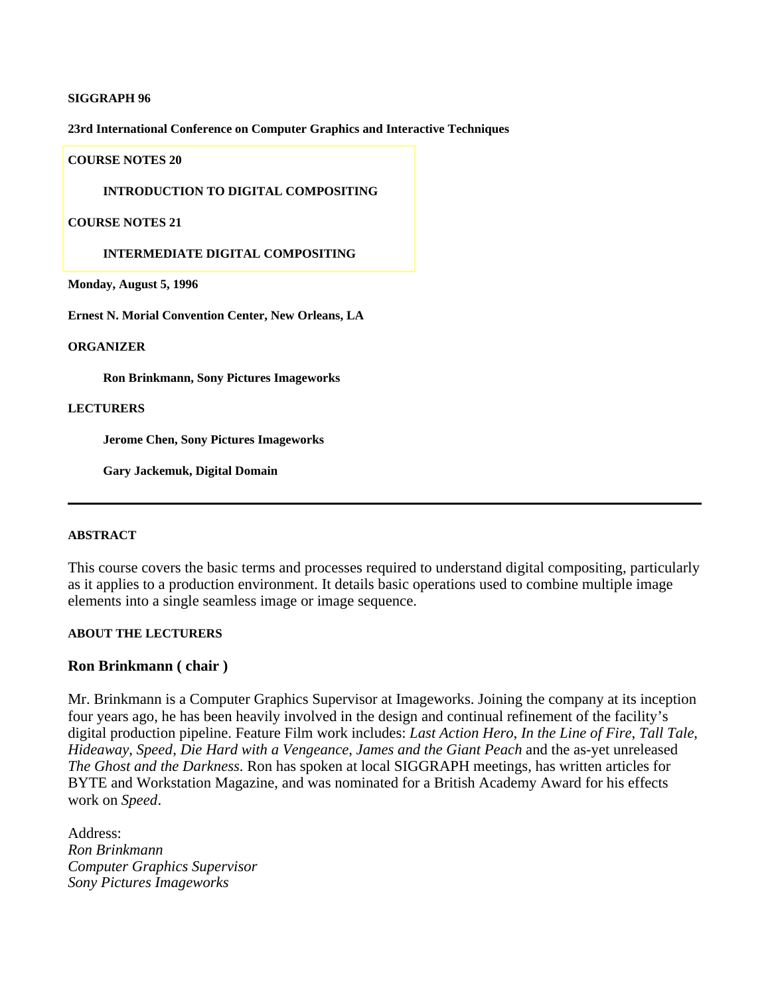## **SIGGRAPH 96**

**23rd International Conference on Computer Graphics and Interactive Techniques**

#### **COURSE NOTES 20**

## **[INTRODUCTION TO DIGITAL COMPOSITING](#page-3-0)**

#### **COURSE NOTES 21**

## **INTERMEDIATE DIGITAL COMPOSITING**

**Monday, August 5, 1996**

**Ernest N. Morial Convention Center, New Orleans, LA**

#### **ORGANIZER**

**Ron Brinkmann, Sony Pictures Imageworks**

#### **LECTURERS**

**Jerome Chen, Sony Pictures Imageworks**

**Gary Jackemuk, Digital Domain**

## **ABSTRACT**

This course covers the basic terms and processes required to understand digital compositing, particularly as it applies to a production environment. It details basic operations used to combine multiple image elements into a single seamless image or image sequence.

## **ABOUT THE LECTURERS**

## **Ron Brinkmann ( chair )**

Mr. Brinkmann is a Computer Graphics Supervisor at Imageworks. Joining the company at its inception four years ago, he has been heavily involved in the design and continual refinement of the facility's digital production pipeline. Feature Film work includes: *Last Action Hero*, *In the Line of Fire*, *Tall Tale*, *Hideaway*, *Speed*, *Die Hard with a Vengeance*, *James and the Giant Peach* and the as-yet unreleased *The Ghost and the Darkness*. Ron has spoken at local SIGGRAPH meetings, has written articles for BYTE and Workstation Magazine, and was nominated for a British Academy Award for his effects work on *Speed*.

Address: *Ron Brinkmann Computer Graphics Supervisor Sony Pictures Imageworks*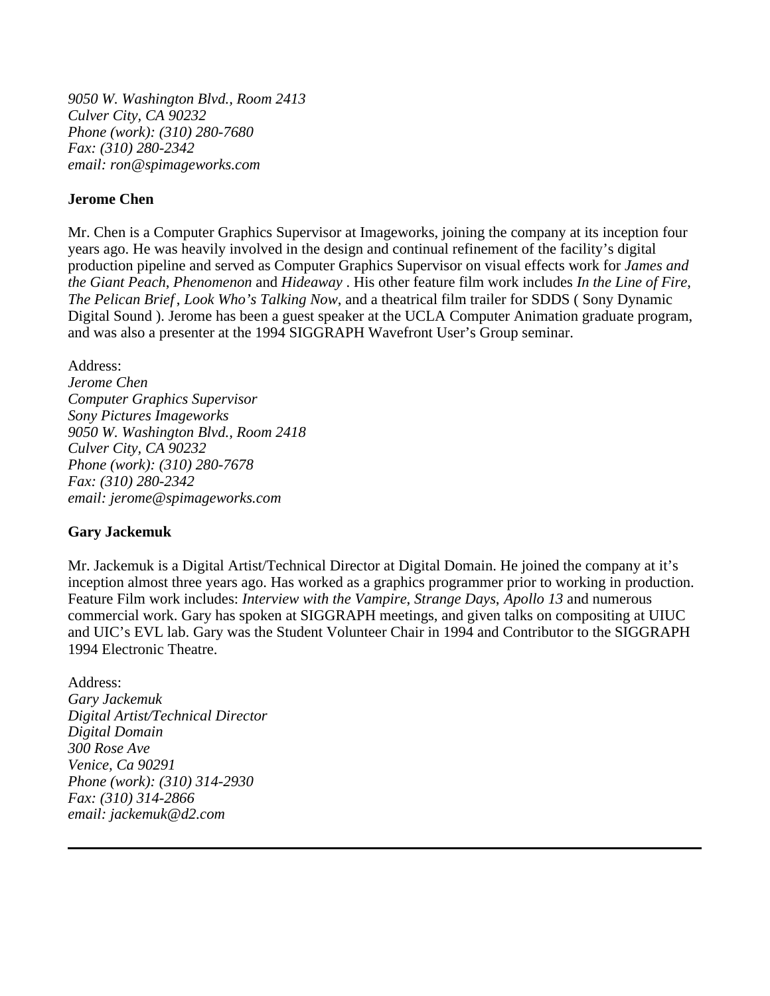*9050 W. Washington Blvd., Room 2413 Culver City, CA 90232 Phone (work): (310) 280-7680 Fax: (310) 280-2342 email: ron@spimageworks.com*

# **Jerome Chen**

Mr. Chen is a Computer Graphics Supervisor at Imageworks, joining the company at its inception four years ago. He was heavily involved in the design and continual refinement of the facility's digital production pipeline and served as Computer Graphics Supervisor on visual effects work for *James and the Giant Peach*, *Phenomenon* and *Hideaway* . His other feature film work includes *In the Line of Fire*, *The Pelican Brief* , *Look Who's Talking Now*, and a theatrical film trailer for SDDS ( Sony Dynamic Digital Sound ). Jerome has been a guest speaker at the UCLA Computer Animation graduate program, and was also a presenter at the 1994 SIGGRAPH Wavefront User's Group seminar.

# Address:

*Jerome Chen Computer Graphics Supervisor Sony Pictures Imageworks 9050 W. Washington Blvd., Room 2418 Culver City, CA 90232 Phone (work): (310) 280-7678 Fax: (310) 280-2342 email: jerome@spimageworks.com*

# **Gary Jackemuk**

Mr. Jackemuk is a Digital Artist/Technical Director at Digital Domain. He joined the company at it's inception almost three years ago. Has worked as a graphics programmer prior to working in production. Feature Film work includes: *Interview with the Vampire*, *Strange Days*, *Apollo 13* and numerous commercial work. Gary has spoken at SIGGRAPH meetings, and given talks on compositing at UIUC and UIC's EVL lab. Gary was the Student Volunteer Chair in 1994 and Contributor to the SIGGRAPH 1994 Electronic Theatre.

Address: *Gary Jackemuk Digital Artist/Technical Director Digital Domain 300 Rose Ave Venice, Ca 90291 Phone (work): (310) 314-2930 Fax: (310) 314-2866 email: jackemuk@d2.com*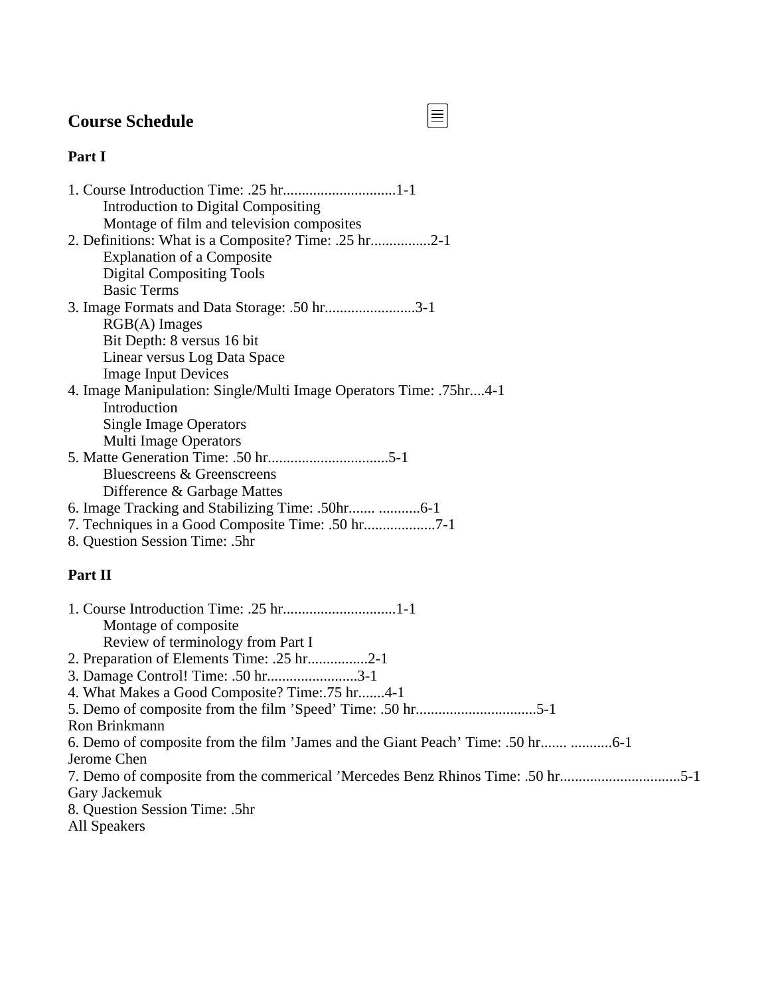# **Course Schedule**

# **Part I**

| Introduction to Digital Compositing                                |
|--------------------------------------------------------------------|
| Montage of film and television composites                          |
| 2. Definitions: What is a Composite? Time: .25 hr2-1               |
| <b>Explanation of a Composite</b>                                  |
| <b>Digital Compositing Tools</b>                                   |
| <b>Basic Terms</b>                                                 |
| 3. Image Formats and Data Storage: .50 hr3-1                       |
| $RGB(A)$ Images                                                    |
| Bit Depth: 8 versus 16 bit                                         |
| Linear versus Log Data Space                                       |
| <b>Image Input Devices</b>                                         |
| 4. Image Manipulation: Single/Multi Image Operators Time: .75hr4-1 |
| Introduction                                                       |
| <b>Single Image Operators</b>                                      |
| <b>Multi Image Operators</b>                                       |
|                                                                    |
| Bluescreens & Greenscreens                                         |
| Difference & Garbage Mattes                                        |
|                                                                    |
| 7. Techniques in a Good Composite Time: .50 hr                     |
|                                                                    |

8. Question Session Time: .5hr

# **Part II**

| Montage of composite.                                                       |
|-----------------------------------------------------------------------------|
| Review of terminology from Part I                                           |
| 2. Preparation of Elements Time: .25 hr2-1                                  |
| 3. Damage Control! Time: .50 hr3-1                                          |
| 4. What Makes a Good Composite? Time: 75 hr4-1                              |
|                                                                             |
| Ron Brinkmann                                                               |
| 6. Demo of composite from the film 'James and the Giant Peach' Time: .50 hr |
| Jerome Chen                                                                 |
| 7. Demo of composite from the commerical 'Mercedes Benz Rhinos Time: .50 hr |
| Gary Jackemuk                                                               |
| 8. Question Session Time: .5hr                                              |
| All Speakers                                                                |

 $\boxed{\equiv}$